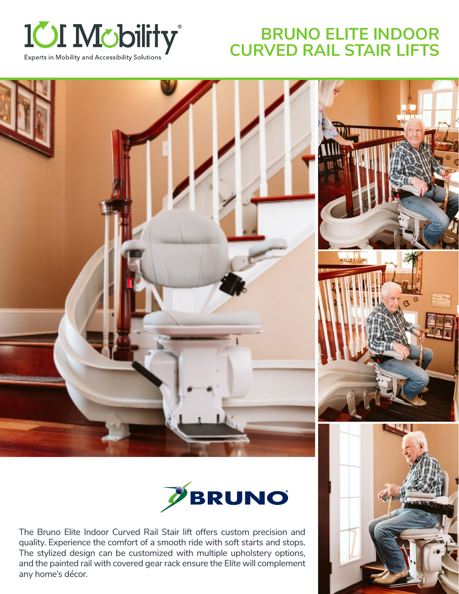

# **BRUNO ELITE INDOOR CURVED RAIL STAIR LIFTS**





The Bruno Elite Indoor Curved Rail Stair lift offers custom precision and quality. Experience the comfort of a smooth ride with soft starts and stops. The stylized design can be customized with multiple upholstery options, and the painted rail with covered gear rack ensure the Elite will complement any home's décor.